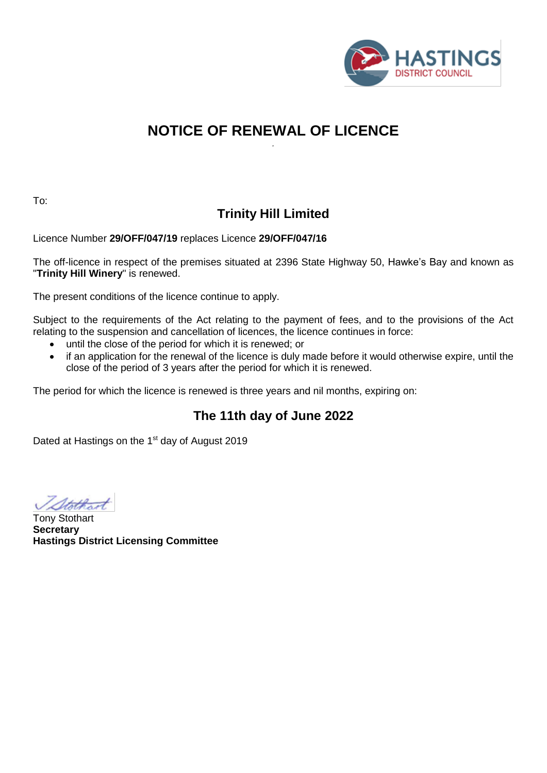

### **NOTICE OF RENEWAL OF LICENCE** *.*

To:

# **Trinity Hill Limited**

Licence Number **29/OFF/047/19** replaces Licence **29/OFF/047/16**

The off-licence in respect of the premises situated at 2396 State Highway 50, Hawke's Bay and known as "**Trinity Hill Winery**" is renewed.

The present conditions of the licence continue to apply.

Subject to the requirements of the Act relating to the payment of fees, and to the provisions of the Act relating to the suspension and cancellation of licences, the licence continues in force:

- until the close of the period for which it is renewed; or
- if an application for the renewal of the licence is duly made before it would otherwise expire, until the close of the period of 3 years after the period for which it is renewed.

The period for which the licence is renewed is three years and nil months, expiring on:

## **The 11th day of June 2022**

Dated at Hastings on the 1<sup>st</sup> day of August 2019

Istothart

Tony Stothart **Secretary Hastings District Licensing Committee**